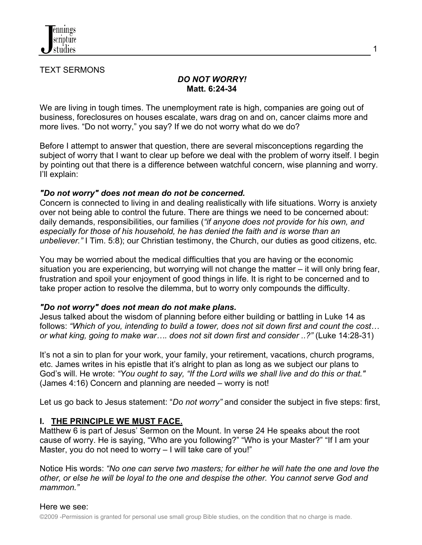

TEXT SERMONS

#### *DO NOT WORRY!*  **Matt. 6:24-34**

We are living in tough times. The unemployment rate is high, companies are going out of business, foreclosures on houses escalate, wars drag on and on, cancer claims more and more lives. "Do not worry," you say? If we do not worry what do we do?

Before I attempt to answer that question, there are several misconceptions regarding the subject of worry that I want to clear up before we deal with the problem of worry itself. I begin by pointing out that there is a difference between watchful concern, wise planning and worry. I'll explain:

#### *"Do not worry" does not mean do not be concerned.*

Concern is connected to living in and dealing realistically with life situations. Worry is anxiety over not being able to control the future. There are things we need to be concerned about: daily demands, responsibilities, our families (*"if anyone does not provide for his own, and especially for those of his household, he has denied the faith and is worse than an unbeliever."* I Tim. 5:8); our Christian testimony, the Church, our duties as good citizens, etc.

You may be worried about the medical difficulties that you are having or the economic situation you are experiencing, but worrying will not change the matter – it will only bring fear, frustration and spoil your enjoyment of good things in life. It is right to be concerned and to take proper action to resolve the dilemma, but to worry only compounds the difficulty.

#### *"Do not worry" does not mean do not make plans.*

Jesus talked about the wisdom of planning before either building or battling in Luke 14 as follows: *"Which of you, intending to build a tower, does not sit down first and count the cost… or what king, going to make war…. does not sit down first and consider ..?"* (Luke 14:28-31)

It's not a sin to plan for your work, your family, your retirement, vacations, church programs, etc. James writes in his epistle that it's alright to plan as long as we subject our plans to God's will. He wrote: *"You ought to say, "If the Lord wills we shall live and do this or that."* (James 4:16) Concern and planning are needed – worry is not!

Let us go back to Jesus statement: "*Do not worry"* and consider the subject in five steps: first,

### **I. THE PRINCIPLE WE MUST FACE.**

Matthew 6 is part of Jesus' Sermon on the Mount. In verse 24 He speaks about the root cause of worry. He is saying, "Who are you following?" "Who is your Master?" "If I am your Master, you do not need to worry – I will take care of you!"

Notice His words: *"No one can serve two masters; for either he will hate the one and love the other, or else he will be loyal to the one and despise the other. You cannot serve God and mammon."*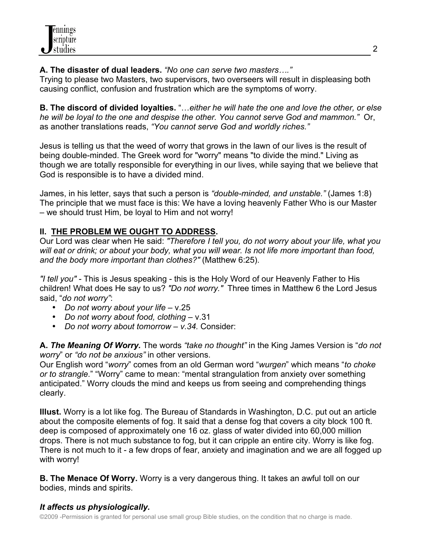**A. The disaster of dual leaders.** *"No one can serve two masters…."*

Trying to please two Masters, two supervisors, two overseers will result in displeasing both causing conflict, confusion and frustration which are the symptoms of worry.

**B. The discord of divided loyalties.** "…*either he will hate the one and love the other, or else he will be loyal to the one and despise the other. You cannot serve God and mammon."* Or, as another translations reads, *"You cannot serve God and worldly riches."*

Jesus is telling us that the weed of worry that grows in the lawn of our lives is the result of being double-minded. The Greek word for "worry" means "to divide the mind." Living as though we are totally responsible for everything in our lives, while saying that we believe that God is responsible is to have a divided mind.

James, in his letter, says that such a person is *"double-minded, and unstable."* (James 1:8) The principle that we must face is this: We have a loving heavenly Father Who is our Master – we should trust Him, be loyal to Him and not worry!

# **II. THE PROBLEM WE OUGHT TO ADDRESS.**

Our Lord was clear when He said: *"Therefore I tell you, do not worry about your life, what you will eat or drink; or about your body, what you will wear. Is not life more important than food, and the body more important than clothes?"* (Matthew 6:25).

*"I tell you" -* This is Jesus speaking - this is the Holy Word of our Heavenly Father to His children! What does He say to us? *"Do not worry."* Three times in Matthew 6 the Lord Jesus said, "*do not worry"*:

- *Do not worry about your life* v.25
- *Do not worry about food, clothing*  v.31
- *Do not worry about tomorrow v.34.* Consider:

**A.** *The Meaning Of Worry.* The words *"take no thought"* in the King James Version is "*do not worry*" or *"do not be anxious"* in other versions.

Our English word "*worry*" comes from an old German word "*wurgen*" which means "*to choke or to strangle*." "Worry" came to mean: "mental strangulation from anxiety over something anticipated." Worry clouds the mind and keeps us from seeing and comprehending things clearly.

**Illust.** Worry is a lot like fog. The Bureau of Standards in Washington, D.C. put out an article about the composite elements of fog. It said that a dense fog that covers a city block 100 ft. deep is composed of approximately one 16 oz. glass of water divided into 60,000 million drops. There is not much substance to fog, but it can cripple an entire city. Worry is like fog. There is not much to it - a few drops of fear, anxiety and imagination and we are all fogged up with worry!

**B. The Menace Of Worry.** Worry is a very dangerous thing. It takes an awful toll on our bodies, minds and spirits.

# *It affects us physiologically.*

©2009 -Permission is granted for personal use small group Bible studies, on the condition that no charge is made.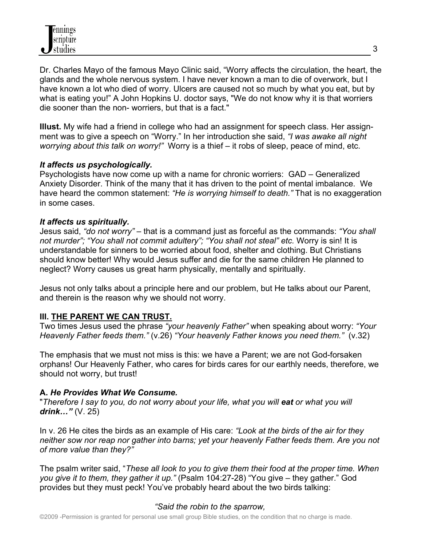Dr. Charles Mayo of the famous Mayo Clinic said, "Worry affects the circulation, the heart, the glands and the whole nervous system. I have never known a man to die of overwork, but I have known a lot who died of worry. Ulcers are caused not so much by what you eat, but by what is eating you!" A John Hopkins U. doctor says, "We do not know why it is that worriers die sooner than the non- worriers, but that is a fact."

**Illust.** My wife had a friend in college who had an assignment for speech class. Her assignment was to give a speech on "Worry." In her introduction she said, *"I was awake all night worrying about this talk on worry!"* Worry is a thief – it robs of sleep, peace of mind, etc.

#### *It affects us psychologically.*

Psychologists have now come up with a name for chronic worriers: GAD – Generalized Anxiety Disorder. Think of the many that it has driven to the point of mental imbalance. We have heard the common statement: *"He is worrying himself to death."* That is no exaggeration in some cases.

#### *It affects us spiritually.*

Jesus said, *"do not worry"* – that is a command just as forceful as the commands: *"You shall not murder"; "You shall not commit adultery"; "You shall not steal" etc.* Worry is sin! It is understandable for sinners to be worried about food, shelter and clothing. But Christians should know better! Why would Jesus suffer and die for the same children He planned to neglect? Worry causes us great harm physically, mentally and spiritually.

Jesus not only talks about a principle here and our problem, but He talks about our Parent, and therein is the reason why we should not worry.

### **III. THE PARENT WE CAN TRUST.**

Two times Jesus used the phrase *"your heavenly Father"* when speaking about worry: *"Your Heavenly Father feeds them."* (v.26) *"Your heavenly Father knows you need them."*(v.32)

The emphasis that we must not miss is this: we have a Parent; we are not God-forsaken orphans! Our Heavenly Father, who cares for birds cares for our earthly needs, therefore, we should not worry, but trust!

### **A.** *He Provides What We Consume.*

"*Therefore I say to you, do not worry about your life, what you will eat or what you will drink…"* (V. 25)

In v. 26 He cites the birds as an example of His care: *"Look at the birds of the air for they neither sow nor reap nor gather into barns; yet your heavenly Father feeds them. Are you not of more value than they?"* 

The psalm writer said, "*These all look to you to give them their food at the proper time. When you give it to them, they gather it up."* (Psalm 104:27-28) "You give – they gather." God provides but they must peck! You've probably heard about the two birds talking:

### *"Said the robin to the sparrow,*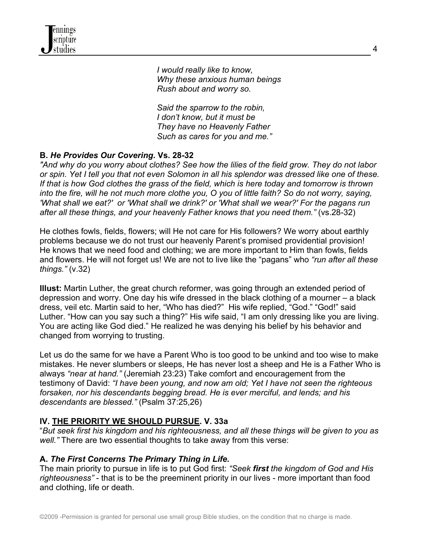*I would really like to know, Why these anxious human beings Rush about and worry so.* 

 *Said the sparrow to the robin, I don't know, but it must be They have no Heavenly Father Such as cares for you and me."*

# **B.** *He Provides Our Covering.* **Vs. 28-32**

*"And why do you worry about clothes? See how the lilies of the field grow. They do not labor or spin. Yet I tell you that not even Solomon in all his splendor was dressed like one of these. If that is how God clothes the grass of the field, which is here today and tomorrow is thrown into the fire, will he not much more clothe you, O you of little faith? So do not worry, saying, 'What shall we eat?' or 'What shall we drink?' or 'What shall we wear?' For the pagans run after all these things, and your heavenly Father knows that you need them."* (vs.28-32)

He clothes fowls, fields, flowers; will He not care for His followers? We worry about earthly problems because we do not trust our heavenly Parent's promised providential provision! He knows that we need food and clothing; we are more important to Him than fowls, fields and flowers. He will not forget us! We are not to live like the "pagans" who *"run after all these things."* (v.32)

**Illust:** Martin Luther, the great church reformer, was going through an extended period of depression and worry. One day his wife dressed in the black clothing of a mourner – a black dress, veil etc. Martin said to her, "Who has died?" His wife replied, "God." "God!" said Luther. "How can you say such a thing?" His wife said, "I am only dressing like you are living. You are acting like God died." He realized he was denying his belief by his behavior and changed from worrying to trusting.

Let us do the same for we have a Parent Who is too good to be unkind and too wise to make mistakes. He never slumbers or sleeps, He has never lost a sheep and He is a Father Who is always *"near at hand."* (Jeremiah 23:23) Take comfort and encouragement from the testimony of David: *"I have been young, and now am old; Yet I have not seen the righteous forsaken, nor his descendants begging bread. He is ever merciful, and lends; and his descendants are blessed."* (Psalm 37:25,26)

### **IV. THE PRIORITY WE SHOULD PURSUE. V. 33a**

"*But seek first his kingdom and his righteousness, and all these things will be given to you as well."* There are two essential thoughts to take away from this verse:

### **A.** *The First Concerns The Primary Thing in Life.*

The main priority to pursue in life is to put God first: *"Seek first the kingdom of God and His righteousness"* - that is to be the preeminent priority in our lives - more important than food and clothing, life or death.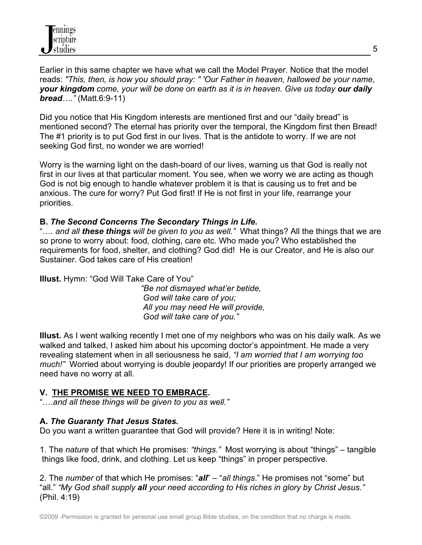Earlier in this same chapter we have what we call the Model Prayer. Notice that the model reads: *"This, then, is how you should pray: " 'Our Father in heaven, hallowed be your name, your kingdom come, your will be done on earth as it is in heaven. Give us today our daily bread…."* (Matt.6:9-11)

Did you notice that His Kingdom interests are mentioned first and our "daily bread" is mentioned second? The eternal has priority over the temporal, the Kingdom first then Bread! The #1 priority is to put God first in our lives. That is the antidote to worry. If we are not seeking God first, no wonder we are worried!

Worry is the warning light on the dash-board of our lives, warning us that God is really not first in our lives at that particular moment. You see, when we worry we are acting as though God is not big enough to handle whatever problem it is that is causing us to fret and be anxious. The cure for worry? Put God first! If He is not first in your life, rearrange your priorities.

### **B.** *The Second Concerns The Secondary Things in Life.*

"…. *and all these things will be given to you as well."* What things? All the things that we are so prone to worry about: food, clothing, care etc. Who made you? Who established the requirements for food, shelter, and clothing? God did! He is our Creator, and He is also our Sustainer. God takes care of His creation!

**Illust.** Hymn: "God Will Take Care of You"

 *"Be not dismayed what'er betide, God will take care of you; All you may need He will provide, God will take care of you."* 

**Illust.** As I went walking recently I met one of my neighbors who was on his daily walk. As we walked and talked, I asked him about his upcoming doctor's appointment. He made a very revealing statement when in all seriousness he said, *"I am worried that I am worrying too much!"* Worried about worrying is double jeopardy! If our priorities are properly arranged we need have no worry at all.

### **V. THE PROMISE WE NEED TO EMBRACE.**

"….*and all these things will be given to you as well."*

### **A.** *The Guaranty That Jesus States.*

Do you want a written guarantee that God will provide? Here it is in writing! Note:

1. The *nature* of that which He promises: *"things."* Most worrying is about "things" – tangible things like food, drink, and clothing. Let us keep "things" in proper perspective.

2. The *number* of that which He promises: "*all*" – "*all things*." He promises not "some" but "all." *"My God shall supply all your need according to His riches in glory by Christ Jesus."* (Phil. 4:19)